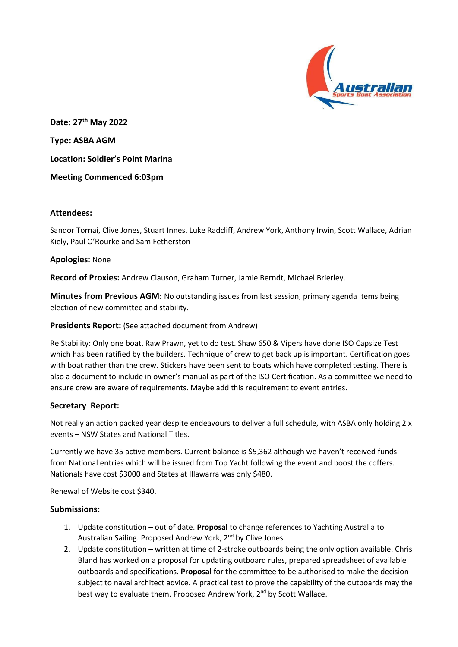

**Date: 27th May 2022 Type: ASBA AGM Location: Soldier's Point Marina Meeting Commenced 6:03pm**

# **Attendees:**

Sandor Tornai, Clive Jones, Stuart Innes, Luke Radcliff, Andrew York, Anthony Irwin, Scott Wallace, Adrian Kiely, Paul O'Rourke and Sam Fetherston

## **Apologies**: None

**Record of Proxies:** Andrew Clauson, Graham Turner, Jamie Berndt, Michael Brierley.

**Minutes from Previous AGM:** No outstanding issues from last session, primary agenda items being election of new committee and stability.

## **Presidents Report:** (See attached document from Andrew)

Re Stability: Only one boat, Raw Prawn, yet to do test. Shaw 650 & Vipers have done ISO Capsize Test which has been ratified by the builders. Technique of crew to get back up is important. Certification goes with boat rather than the crew. Stickers have been sent to boats which have completed testing. There is also a document to include in owner's manual as part of the ISO Certification. As a committee we need to ensure crew are aware of requirements. Maybe add this requirement to event entries.

## **Secretary Report:**

Not really an action packed year despite endeavours to deliver a full schedule, with ASBA only holding 2 x events – NSW States and National Titles.

Currently we have 35 active members. Current balance is \$5,362 although we haven't received funds from National entries which will be issued from Top Yacht following the event and boost the coffers. Nationals have cost \$3000 and States at Illawarra was only \$480.

Renewal of Website cost \$340.

## **Submissions:**

- 1. Update constitution out of date. **Proposal** to change references to Yachting Australia to Australian Sailing. Proposed Andrew York, 2<sup>nd</sup> by Clive Jones.
- 2. Update constitution written at time of 2-stroke outboards being the only option available. Chris Bland has worked on a proposal for updating outboard rules, prepared spreadsheet of available outboards and specifications. **Proposal** for the committee to be authorised to make the decision subject to naval architect advice. A practical test to prove the capability of the outboards may the best way to evaluate them. Proposed Andrew York, 2<sup>nd</sup> by Scott Wallace.